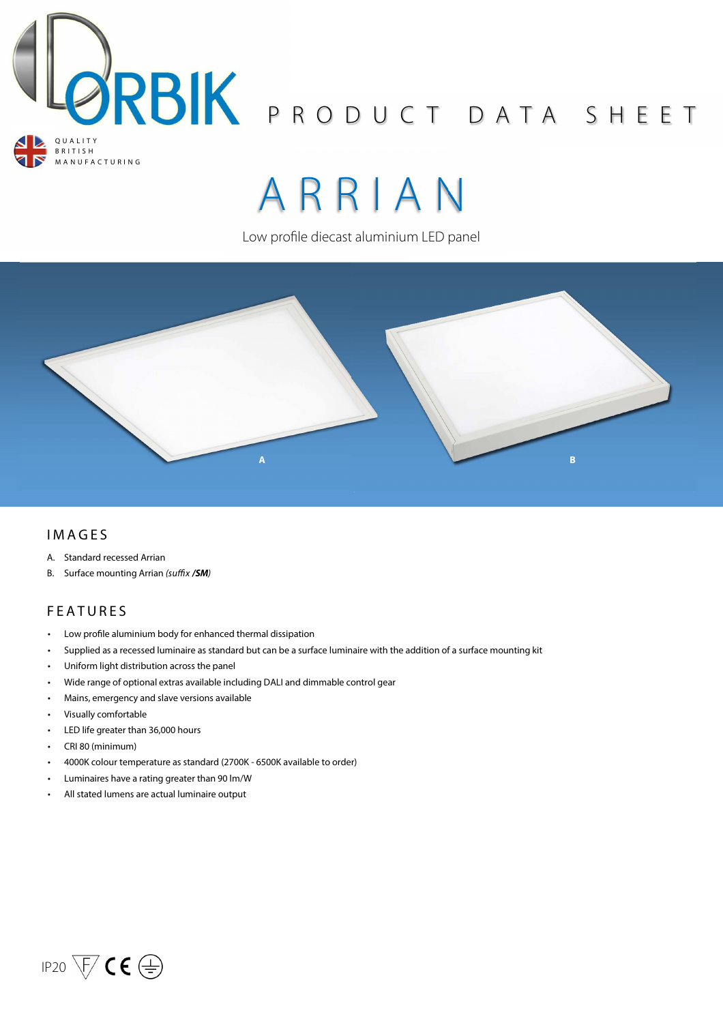

# A R R I A N

Low profile diecast aluminium LED panel



## **IMAGES**

- A. Standard recessed Arrian
- B. Surface mounting Arrian (suffix /**SM**)

## **FEATURES**

- Low profile aluminium body for enhanced thermal dissipation
- Supplied as a recessed luminaire as standard but can be a surface luminaire with the addition of a surface mounting kit
- Uniform light distribution across the panel
- Wide range of optional extras available including DALI and dimmable control gear
- Mains, emergency and slave versions available
- Visually comfortable
- LED life greater than 36,000 hours
- CRI 80 (minimum)
- 4000K colour temperature as standard (2700K 6500K available to order)
- Luminaires have a rating greater than 90 lm/W
- All stated lumens are actual luminaire output

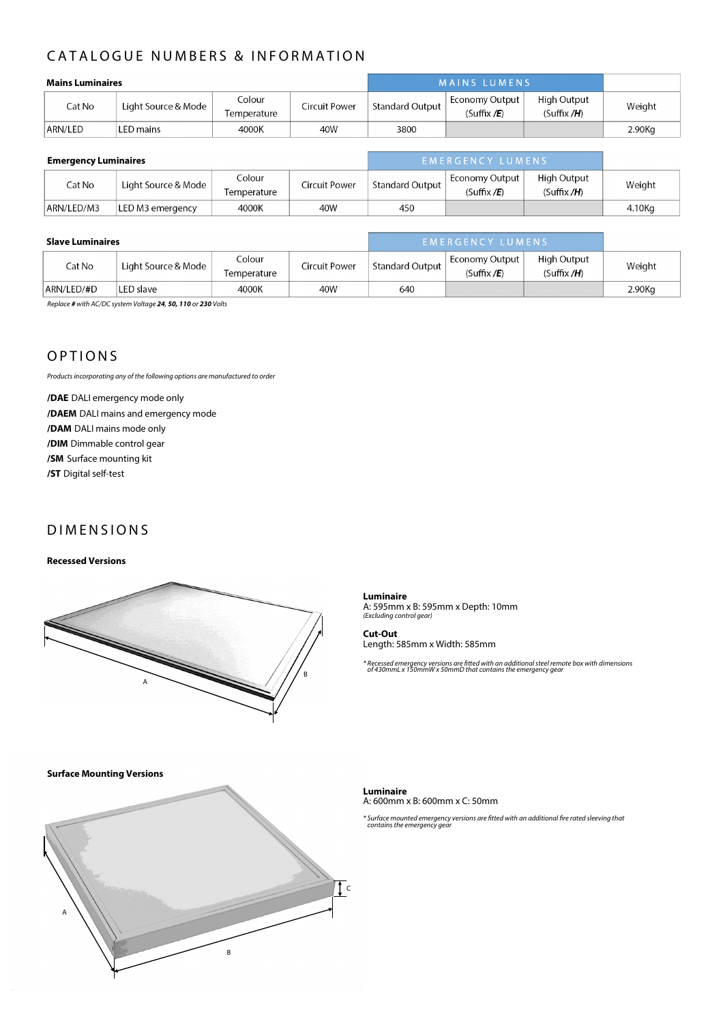# CATALOGUE NUMBERS & INFORMATION

| <b>Mains Luminaires</b> |                     |                       | <b>MAINS LUMENS</b> |                 |                                |                           |        |
|-------------------------|---------------------|-----------------------|---------------------|-----------------|--------------------------------|---------------------------|--------|
| Cat No                  | Light Source & Mode | Colour<br>Temperature | Circuit Power       | Standard Output | Economy Output<br>(Suffix / E) | High Output<br>(Suffix/H) | Weight |
| ARN/LED                 | LED mains           | 4000K                 | 40W                 | 3800            |                                |                           | 2.90Kg |

| <b>Emergency Luminaires</b> |                     |                       | EMERGENCY LUMENS |                 |                                  |                               |        |
|-----------------------------|---------------------|-----------------------|------------------|-----------------|----------------------------------|-------------------------------|--------|
| Cat No                      | Light Source & Mode | Colour<br>Temperature | Circuit Power    | Standard Output | Economy Output  <br>(Suffix / E) | High Output<br>(Suffix $/H$ ) | Weight |
| ARN/LED/M3                  | LED M3 emergency    | 4000K                 | 40W              | 450             |                                  |                               | 4.10Kg |

| <b>Slave Luminaires</b> |                     |                       | EMERGENCY LUMENS |                 |                                |                               |        |
|-------------------------|---------------------|-----------------------|------------------|-----------------|--------------------------------|-------------------------------|--------|
| Cat No                  | Light Source & Mode | Colour<br>Temperature | Circuit Power    | Standard Output | Economy Output<br>(Suffix / E) | High Output<br>(Suffix $/H$ ) | Weight |
| ARN/LED/#D              | LED slave           | 4000K                 | 40W              | 640             |                                |                               | 2.90Kg |

Replace **#** with AC/DC system Voltage **24**, **50, 110** or **230** Volts

## **OPTIONS**

Products incorporating any of the following options are manufactured to order

**/DAE** DALI emergency mode only **/DAEM** DALI mains and emergency mode **/DAM** DALI mains mode only **/DIM** Dimmable control gear **/SM** Surface mounting kit **/ST** Digital self-test

## **DIMENSIONS**

#### **Recessed Versions**



**Luminaire**  A: 595mm x B: 595mm x Depth: 10mm (Excluding control gear)

**Cut-Out**  Length: 585mm x Width: 585mm

\* Recessed emergency versions are tted with an additional steel remote box with dimensions \* of 430mmL x 150mmW x 50mmD that contains the emergency gear

**Surface Mounting Versions** 



**Luminaire**  A: 600mm x B: 600mm x C: 50mm

\* Surface mounted emergency versions are fitted with an additional fire rated sleeving that<br>contains the emergency gear